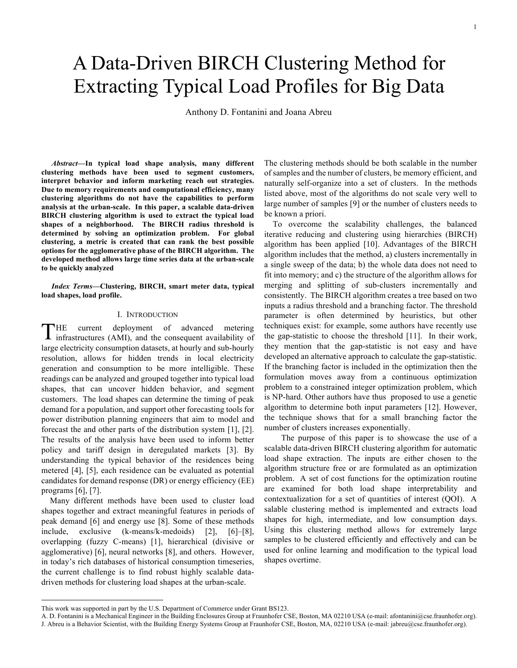# A Data-Driven BIRCH Clustering Method for Extracting Typical Load Profiles for Big Data

Anthony D. Fontanini and Joana Abreu

*Abstract***—In typical load shape analysis, many different clustering methods have been used to segment customers, interpret behavior and inform marketing reach out strategies. Due to memory requirements and computational efficiency, many clustering algorithms do not have the capabilities to perform analysis at the urban-scale. In this paper, a scalable data-driven BIRCH clustering algorithm is used to extract the typical load shapes of a neighborhood. The BIRCH radius threshold is determined by solving an optimization problem. For global clustering, a metric is created that can rank the best possible options for the agglomerative phase of the BIRCH algorithm. The developed method allows large time series data at the urban-scale to be quickly analyzed**

*Index Terms***—Clustering, BIRCH, smart meter data, typical load shapes, load profile.**

# I. INTRODUCTION

HE current deployment of advanced metering THE current deployment of advanced metering<br>infrastructures (AMI), and the consequent availability of large electricity consumption datasets, at hourly and sub-hourly resolution, allows for hidden trends in local electricity generation and consumption to be more intelligible. These readings can be analyzed and grouped together into typical load shapes, that can uncover hidden behavior, and segment customers. The load shapes can determine the timing of peak demand for a population, and support other forecasting tools for power distribution planning engineers that aim to model and forecast the and other parts of the distribution system [1], [2]. The results of the analysis have been used to inform better policy and tariff design in deregulated markets [3]. By understanding the typical behavior of the residences being metered [4], [5], each residence can be evaluated as potential candidates for demand response (DR) or energy efficiency (EE) programs [6], [7].

Many different methods have been used to cluster load shapes together and extract meaningful features in periods of peak demand [6] and energy use [8]. Some of these methods include, exclusive (k-means/k-medoids) [2], [6]–[8], overlapping (fuzzy C-means) [1], hierarchical (divisive or agglomerative) [6], neural networks [8], and others. However, in today's rich databases of historical consumption timeseries, the current challenge is to find robust highly scalable datadriven methods for clustering load shapes at the urban-scale.

1

The clustering methods should be both scalable in the number of samples and the number of clusters, be memory efficient, and naturally self-organize into a set of clusters. In the methods listed above, most of the algorithms do not scale very well to large number of samples [9] or the number of clusters needs to be known a priori.

To overcome the scalability challenges, the balanced iterative reducing and clustering using hierarchies (BIRCH) algorithm has been applied [10]. Advantages of the BIRCH algorithm includes that the method, a) clusters incrementally in a single sweep of the data; b) the whole data does not need to fit into memory; and c) the structure of the algorithm allows for merging and splitting of sub-clusters incrementally and consistently. The BIRCH algorithm creates a tree based on two inputs a radius threshold and a branching factor. The threshold parameter is often determined by heuristics, but other techniques exist: for example, some authors have recently use the gap-statistic to choose the threshold [11]. In their work, they mention that the gap-statistic is not easy and have developed an alternative approach to calculate the gap-statistic. If the branching factor is included in the optimization then the formulation moves away from a continuous optimization problem to a constrained integer optimization problem, which is NP-hard. Other authors have thus proposed to use a genetic algorithm to determine both input parameters [12]. However, the technique shows that for a small branching factor the number of clusters increases exponentially.

The purpose of this paper is to showcase the use of a scalable data-driven BIRCH clustering algorithm for automatic load shape extraction. The inputs are either chosen to the algorithm structure free or are formulated as an optimization problem. A set of cost functions for the optimization routine are examined for both load shape interpretability and contextualization for a set of quantities of interest (QOI). A salable clustering method is implemented and extracts load shapes for high, intermediate, and low consumption days. Using this clustering method allows for extremely large samples to be clustered efficiently and effectively and can be used for online learning and modification to the typical load shapes overtime.

This work was supported in part by the U.S. Department of Commerce under Grant BS123.

A. D. Fontanini is a Mechanical Engineer in the Building Enclosures Group at Fraunhofer CSE, Boston, MA 02210 USA (e-mail: afontanini@cse.fraunhofer.org). J. Abreu is a Behavior Scientist, with the Building Energy Systems Group at Fraunhofer CSE, Boston, MA, 02210 USA (e-mail: jabreu@cse.fraunhofer.org).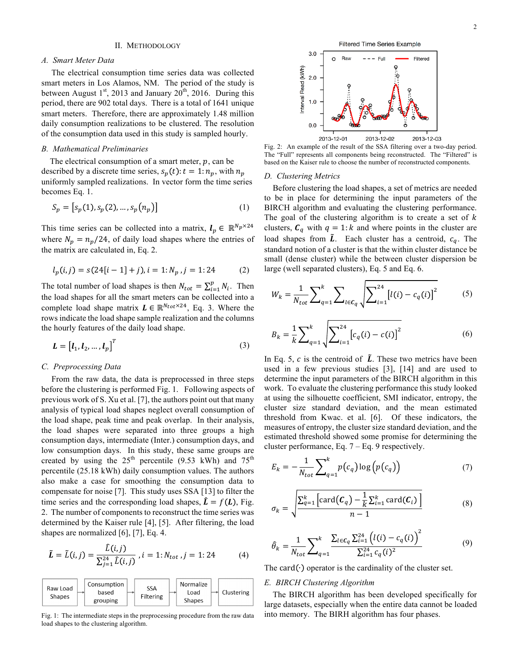# II. METHODOLOGY

# *A. Smart Meter Data*

The electrical consumption time series data was collected smart meters in Los Alamos, NM. The period of the study is between August  $1<sup>st</sup>$ , 2013 and January  $20<sup>th</sup>$ , 2016. During this period, there are 902 total days. There is a total of 1641 unique smart meters. Therefore, there are approximately 1.48 million daily consumption realizations to be clustered. The resolution of the consumption data used in this study is sampled hourly.

# *B. Mathematical Preliminaries*

The electrical consumption of a smart meter,  $p$ , can be described by a discrete time series,  $s_p(t)$ :  $t = 1$ :  $n_p$ , with  $n_p$ uniformly sampled realizations. In vector form the time series becomes Eq. 1.

$$
S_p = [s_p(1), s_p(2), \dots, s_p(n_p)]
$$
 (1)

This time series can be collected into a matrix,  $l_p \in \mathbb{R}^{N_p \times 24}$ where  $N_p = n_p/24$ , of daily load shapes where the entries of the matrix are calculated in, Eq. 2.

$$
l_p(i,j) = s(24[i-1] + j), i = 1:N_p, j = 1:24
$$
 (2)

The total number of load shapes is then  $N_{tot} = \sum_{i=1}^{p} N_i$ . Then the load shapes for all the smart meters can be collected into a complete load shape matrix  $L \in \mathbb{R}^{N_{tot} \times 24}$ , Eq. 3. Where the rows indicate the load shape sample realization and the columns the hourly features of the daily load shape.

$$
\mathbf{L} = \begin{bmatrix} \mathbf{l}_1, \mathbf{l}_2, \dots, \mathbf{l}_p \end{bmatrix}^T
$$
 (3)

## *C. Preprocessing Data*

From the raw data, the data is preprocessed in three steps before the clustering is performed Fig. 1. Following aspects of previous work of S. Xu et al. [7], the authors point out that many analysis of typical load shapes neglect overall consumption of the load shape, peak time and peak overlap. In their analysis, the load shapes were separated into three groups a high consumption days, intermediate (Inter.) consumption days, and low consumption days. In this study, these same groups are created by using the  $25<sup>th</sup>$  percentile (9.53 kWh) and  $75<sup>th</sup>$ percentile (25.18 kWh) daily consumption values. The authors also make a case for smoothing the consumption data to compensate for noise [7]. This study uses SSA [13] to filter the time series and the corresponding load shapes,  $\hat{L} = f(L)$ , Fig. 2. The number of components to reconstruct the time series was determined by the Kaiser rule [4], [5]. After filtering, the load shapes are normalized [6], [7], Eq. 4.

$$
\tilde{L} = \tilde{L}(i,j) = \frac{\hat{L}(i,j)}{\sum_{j=1}^{24} \hat{L}(i,j)}, i = 1: N_{tot}, j = 1:24
$$
 (4)

| Consumption<br>Raw Load<br>based<br><b>Shapes</b><br>grouping | <b>SSA</b><br>Filtering | Normalize<br>Load<br><b>Shapes</b> | Clustering |
|---------------------------------------------------------------|-------------------------|------------------------------------|------------|
|---------------------------------------------------------------|-------------------------|------------------------------------|------------|

Fig. 1: The intermediate steps in the preprocessing procedure from the raw data load shapes to the clustering algorithm.



Fig. 2: An example of the result of the SSA filtering over a two-day period. The "Full" represents all components being reconstructed. The "Filtered" is based on the Kaiser rule to choose the number of reconstructed components.

## *D. Clustering Metrics*

Before clustering the load shapes, a set of metrics are needed to be in place for determining the input parameters of the BIRCH algorithm and evaluating the clustering performance. The goal of the clustering algorithm is to create a set of  $k$ clusters,  $C_q$  with  $q = 1:k$  and where points in the cluster are load shapes from  $\tilde{L}$ . Each cluster has a centroid,  $c_q$ . The standard notion of a cluster is that the within cluster distance be small (dense cluster) while the between cluster dispersion be large (well separated clusters), Eq. 5 and Eq. 6.

$$
W_k = \frac{1}{N_{tot}} \sum_{q=1}^{k} \sum_{l \in C_q} \sqrt{\sum_{i=1}^{24} [l(i) - c_q(i)]^2}
$$
 (5)

$$
B_k = \frac{1}{k} \sum_{q=1}^{k} \sqrt{\sum_{i=1}^{24} [c_q(i) - c(i)]^2}
$$
 (6)

In Eq. 5,  $c$  is the centroid of  $\tilde{L}$ . These two metrics have been used in a few previous studies [3], [14] and are used to determine the input parameters of the BIRCH algorithm in this work. To evaluate the clustering performance this study looked at using the silhouette coefficient, SMI indicator, entropy, the cluster size standard deviation, and the mean estimated threshold from Kwac. et al. [6]. Of these indicators, the measures of entropy, the cluster size standard deviation, and the estimated threshold showed some promise for determining the cluster performance, Eq. 7 – Eq. 9 respectively.

$$
E_k = -\frac{1}{N_{tot}} \sum_{q=1}^{k} p(c_q) \log \left( p(c_q) \right) \tag{7}
$$

$$
\sigma_k = \sqrt{\frac{\sum_{q=1}^k \left[ \text{card}(\mathcal{C}_q) - \frac{1}{k} \sum_{i=1}^k \text{card}(\mathcal{C}_i) \right]}{n-1}} \tag{8}
$$

$$
\hat{\theta}_k = \frac{1}{N_{tot}} \sum_{q=1}^k \frac{\sum_{l \in C_q} \sum_{i=1}^{24} \left( l(i) - c_q(i) \right)^2}{\sum_{i=1}^{24} c_q(i)^2}
$$
(9)

The card $(·)$  operator is the cardinality of the cluster set.

# *E. BIRCH Clustering Algorithm*

The BIRCH algorithm has been developed specifically for large datasets, especially when the entire data cannot be loaded into memory. The BIRH algorithm has four phases.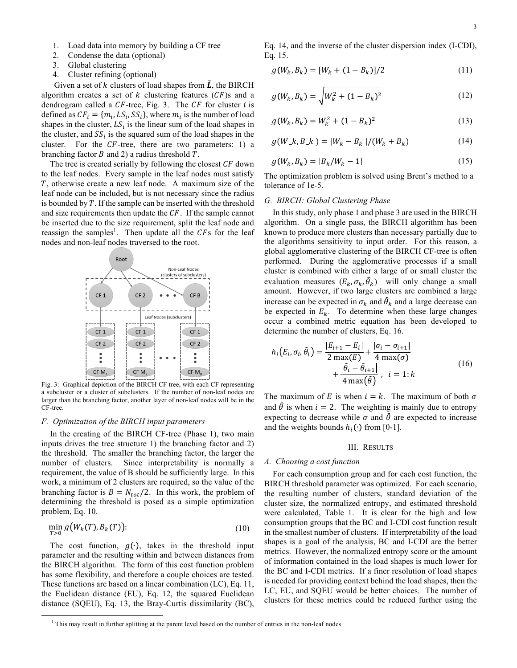- 1. Load data into memory by building a CF tree
- 2. Condense the data (optional)
- 3. Global clustering
- 4. Cluster refining (optional)

Given a set of k clusters of load shapes from  $\tilde{L}$ , the BIRCH algorithm creates a set of  $k$  clustering features  $(CF)$ s and a dendrogram called a  $CF$ -tree, Fig. 3. The  $CF$  for cluster  $i$  is defined as  $CF_i = \{m_i, LS_i, SS_i\}$ , where  $m_i$  is the number of load shapes in the cluster,  $LS_i$  is the linear sum of the load shapes in the cluster, and  $SS_i$  is the squared sum of the load shapes in the cluster. For the  $CF$ -tree, there are two parameters: 1) a branching factor  $B$  and 2) a radius threshold  $T$ .

The tree is created serially by following the closest  $CF$  down to the leaf nodes. Every sample in the leaf nodes must satisfy , otherwise create a new leaf node. A maximum size of the leaf node can be included, but is not necessary since the radius is bounded by  $T$ . If the sample can be inserted with the threshold and size requirements then update the  $CF$ . If the sample cannot be inserted due to the size requirement, split the leaf node and reassign the samples<sup>1</sup>. Then update all the CFs for the leaf nodes and non-leaf nodes traversed to the root.



Fig. 3: Graphical depiction of the BIRCH CF tree, with each CF representing a subcluster or a cluster of subclusters. If the number of non-leaf nodes are larger than the branching factor, another layer of non-leaf nodes will be in the CF-tree.

## *F. Optimization of the BIRCH input parameters*

In the creating of the BIRCH CF-tree (Phase 1), two main inputs drives the tree structure 1) the branching factor and 2) the threshold. The smaller the branching factor, the larger the number of clusters. Since interpretability is normally a requirement, the value of B should be sufficiently large. In this work, a minimum of 2 clusters are required, so the value of the branching factor is  $B = N_{tot}/2$ . In this work, the problem of determining the threshold is posed as a simple optimization problem, Eq. 10.

$$
\min_{T>0} g\big(W_k(T), B_k(T)\big):\tag{10}
$$

The cost function,  $g(\cdot)$ , takes in the threshold input parameter and the resulting within and between distances from the BIRCH algorithm. The form of this cost function problem has some flexibility, and therefore a couple choices are tested. These functions are based on a linear combination (LC), Eq. 11, the Euclidean distance (EU), Eq. 12, the squared Euclidean distance (SQEU), Eq. 13, the Bray-Curtis dissimilarity (BC),

Eq. 14, and the inverse of the cluster dispersion index (I-CDI), Eq. 15.

$$
g(W_k, B_k) = [W_k + (1 - B_k)]/2 \tag{11}
$$

$$
g(W_k, B_k) = \sqrt{W_k^2 + (1 - B_k)^2}
$$
 (12)

$$
g(W_k, B_k) = W_k^2 + (1 - B_k)^2
$$
\n(13)

$$
g(W_{-k}, B_{-k}) = |W_k - B_k| / (W_k + B_k)
$$
 (14)

$$
g(W_k, B_k) = |B_k/W_k - 1|
$$
\n(15)

The optimization problem is solved using Brent's method to a tolerance of 1e-5.

# *G. BIRCH: Global Clustering Phase*

In this study, only phase 1 and phase 3 are used in the BIRCH algorithm. On a single pass, the BIRCH algorithm has been known to produce more clusters than necessary partially due to the algorithms sensitivity to input order. For this reason, a global agglomerative clustering of the BIRCH CF-tree is often performed. During the agglomerative processes if a small cluster is combined with either a large of or small cluster the evaluation measures  $(E_k, \sigma_k, \hat{\theta}_k)$  will only change a small amount. However, if two large clusters are combined a large increase can be expected in  $\sigma_k$  and  $\hat{\theta}_k$  and a large decrease can be expected in  $E_k$ . To determine when these large changes occur a combined metric equation has been developed to determine the number of clusters, Eq. 16.

$$
h_i(E_i, \sigma_i, \hat{\theta}_i) = \frac{|E_{i+1} - E_i|}{2 \max(E)} + \frac{|\sigma_i - \sigma_{i+1}|}{4 \max(\sigma)}
$$
  
+ 
$$
\frac{|\hat{\theta}_i - \hat{\theta}_{i+1}|}{4 \max(\hat{\theta})}, \quad i = 1: k
$$
 (16)

The maximum of E is when  $i = k$ . The maximum of both  $\sigma$ and  $\hat{\theta}$  is when  $i = 2$ . The weighting is mainly due to entropy expecting to decrease while  $\sigma$  and  $\hat{\theta}$  are expected to increase and the weights bounds  $h_i(\cdot)$  from [0-1].

#### III. RESULTS

## *A. Choosing a cost function*

For each consumption group and for each cost function, the BIRCH threshold parameter was optimized. For each scenario, the resulting number of clusters, standard deviation of the cluster size, the normalized entropy, and estimated threshold were calculated, Table 1. It is clear for the high and low consumption groups that the BC and I-CDI cost function result in the smallest number of clusters. If interpretability of the load shapes is a goal of the analysis, BC and I-CDI are the better metrics. However, the normalized entropy score or the amount of information contained in the load shapes is much lower for the BC and I-CDI metrics. If a finer resolution of load shapes is needed for providing context behind the load shapes, then the LC, EU, and SQEU would be better choices. The number of clusters for these metrics could be reduced further using the

<sup>&</sup>lt;sup>1</sup> This may result in further splitting at the parent level based on the number of entries in the non-leaf nodes.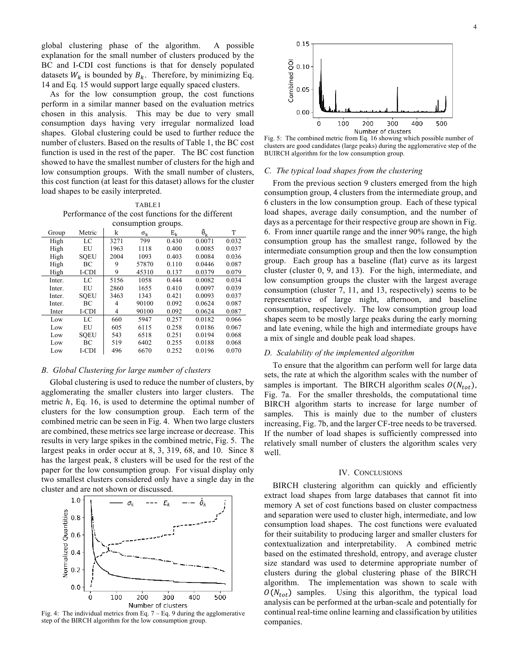global clustering phase of the algorithm. A possible explanation for the small number of clusters produced by the BC and I-CDI cost functions is that for densely populated datasets  $W_k$  is bounded by  $B_k$ . Therefore, by minimizing Eq. 14 and Eq. 15 would support large equally spaced clusters.

As for the low consumption group, the cost functions perform in a similar manner based on the evaluation metrics chosen in this analysis. This may be due to very small consumption days having very irregular normalized load shapes. Global clustering could be used to further reduce the number of clusters. Based on the results of Table 1, the BC cost function is used in the rest of the paper. The BC cost function showed to have the smallest number of clusters for the high and low consumption groups. With the small number of clusters, this cost function (at least for this dataset) allows for the cluster load shapes to be easily interpreted.

TABLE I Performance of the cost functions for the different consumption groups.

| consumption groups. |             |      |                  |       |                       |       |  |
|---------------------|-------------|------|------------------|-------|-----------------------|-------|--|
| Group               | Metric      | k    | $\sigma_{\rm k}$ | $E_k$ | $\ddot{\theta}_{\nu}$ | T     |  |
| High                | LC          | 3271 | 799              | 0.430 | 0.0071                | 0.032 |  |
| High                | EU          | 1963 | 1118             | 0.400 | 0.0085                | 0.037 |  |
| High                | <b>SQEU</b> | 2004 | 1093             | 0.403 | 0.0084                | 0.036 |  |
| High                | ВC          | 9    | 57870            | 0.110 | 0.0446                | 0.087 |  |
| High                | I-CDI       | 9    | 45310            | 0.137 | 0.0379                | 0.079 |  |
| Inter.              | LC          | 5156 | 1058             | 0.444 | 0.0082                | 0.034 |  |
| Inter.              | EU          | 2860 | 1655             | 0.410 | 0.0097                | 0.039 |  |
| Inter.              | <b>SOEU</b> | 3463 | 1343             | 0.421 | 0.0093                | 0.037 |  |
| Inter.              | ВC          | 4    | 90100            | 0.092 | 0.0624                | 0.087 |  |
| Inter               | I-CDI       | 4    | 90100            | 0.092 | 0.0624                | 0.087 |  |
| Low                 | LC          | 660  | 5947             | 0.257 | 0.0182                | 0.066 |  |
| Low                 | EU          | 605  | 6115             | 0.258 | 0.0186                | 0.067 |  |
| Low                 | <b>SOEU</b> | 543  | 6518             | 0.251 | 0.0194                | 0.068 |  |
| Low                 | ВC          | 519  | 6402             | 0.255 | 0.0188                | 0.068 |  |
| Low                 | I-CDI       | 496  | 6670             | 0.252 | 0.0196                | 0.070 |  |

# *B. Global Clustering for large number of clusters*

Global clustering is used to reduce the number of clusters, by agglomerating the smaller clusters into larger clusters. The metric  $h$ , Eq. 16, is used to determine the optimal number of clusters for the low consumption group. Each term of the combined metric can be seen in Fig. 4. When two large clusters are combined, these metrics see large increase or decrease. This results in very large spikes in the combined metric, Fig. 5. The largest peaks in order occur at 8, 3, 319, 68, and 10. Since 8 has the largest peak, 8 clusters will be used for the rest of the paper for the low consumption group. For visual display only two smallest clusters considered only have a single day in the cluster and are not shown or discussed.



Fig. 4: The individual metrics from Eq.  $7 - Eq. 9$  during the agglomerative step of the BIRCH algorithm for the low consumption group.



Fig. 5: The combined metric from Eq. 16 showing which possible number of clusters are good candidates (large peaks) during the agglomerative step of the BUIRCH algorithm for the low consumption group.

## *C. The typical load shapes from the clustering*

From the previous section 9 clusters emerged from the high consumption group, 4 clusters from the intermediate group, and 6 clusters in the low consumption group. Each of these typical load shapes, average daily consumption, and the number of days as a percentage for their respective group are shown in Fig. 6. From inner quartile range and the inner 90% range, the high consumption group has the smallest range, followed by the intermediate consumption group and then the low consumption group. Each group has a baseline (flat) curve as its largest cluster (cluster 0, 9, and 13). For the high, intermediate, and low consumption groups the cluster with the largest average consumption (cluster 7, 11, and 13, respectively) seems to be representative of large night, afternoon, and baseline consumption, respectively. The low consumption group load shapes seem to be mostly large peaks during the early morning and late evening, while the high and intermediate groups have a mix of single and double peak load shapes.

## *D. Scalability of the implemented algorithm*

To ensure that the algorithm can perform well for large data sets, the rate at which the algorithm scales with the number of samples is important. The BIRCH algorithm scales  $O(N_{tot})$ , Fig. 7a. For the smaller thresholds, the computational time BIRCH algorithm starts to increase for large number of samples. This is mainly due to the number of clusters increasing, Fig. 7b, and the larger CF-tree needs to be traversed. If the number of load shapes is sufficiently compressed into relatively small number of clusters the algorithm scales very well.

## IV. CONCLUSIONS

BIRCH clustering algorithm can quickly and efficiently extract load shapes from large databases that cannot fit into memory A set of cost functions based on cluster compactness and separation were used to cluster high, intermediate, and low consumption load shapes. The cost functions were evaluated for their suitability to producing larger and smaller clusters for contextualization and interpretability. A combined metric based on the estimated threshold, entropy, and average cluster size standard was used to determine appropriate number of clusters during the global clustering phase of the BIRCH algorithm. The implementation was shown to scale with  $O(N_{tot})$  samples. Using this algorithm, the typical load analysis can be performed at the urban-scale and potentially for continual real-time online learning and classification by utilities companies.